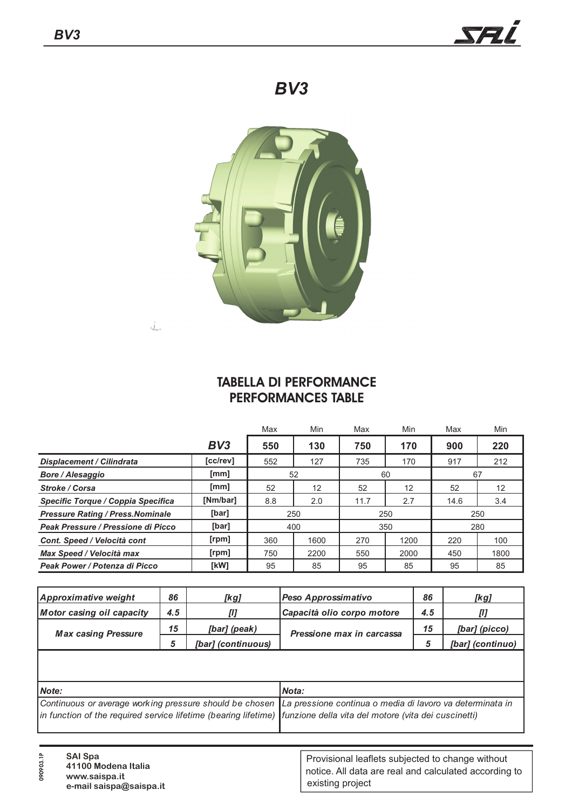

## *BV3*



## **TABELLA DI PERFORMANCE PERFORMANCES TABLE**

|                                          |          | Max | Min  | Max  | Min  | Max  | Min  |  |
|------------------------------------------|----------|-----|------|------|------|------|------|--|
|                                          | BV3      | 550 | 130  | 750  | 170  | 900  | 220  |  |
| <b>Displacement / Cilindrata</b>         | [cc/rev] | 552 | 127  | 735  | 170  | 917  | 212  |  |
| <b>Bore / Alesaggio</b>                  | [mm]     | 52  |      |      | 60   | 67   |      |  |
| Stroke / Corsa                           | [mm]     | 52  | 12   | 52   | 12   | 52   | 12   |  |
| Specific Torque / Coppia Specifica       | [Nm/bar] | 8.8 | 2.0  | 11.7 | 2.7  | 14.6 | 3.4  |  |
| <b>Pressure Rating / Press. Nominale</b> | [bar]    | 250 |      | 250  |      | 250  |      |  |
| Peak Pressure / Pressione di Picco       | [bar]    | 400 |      |      | 350  | 280  |      |  |
| Cont. Speed / Velocità cont              | [rpm]    | 360 | 1600 | 270  | 1200 | 220  | 100  |  |
| Max Speed / Velocità max                 | [rpm]    | 750 | 2200 | 550  | 2000 | 450  | 1800 |  |
| Peak Power / Potenza di Picco            | [kW]     | 95  | 85   | 95   | 85   | 95   | 85   |  |

| Approximative weight       | 86  | [kg]               | Peso Approssimativo        | 86  | [kg]             |
|----------------------------|-----|--------------------|----------------------------|-----|------------------|
| Motor casing oil capacity  | 4.5 | TI 1               | Capacità olio corpo motore | 4.5 | $\boldsymbol{I}$ |
| <b>Max casing Pressure</b> | 15  | [bar] (peak)       | Pressione max in carcassa  | 15  | [bar] (picco)    |
|                            |     | [bar] (continuous) |                            |     | [bar] (continuo) |
|                            |     |                    |                            |     |                  |

| <b>Nota:</b>                                                                                                         |
|----------------------------------------------------------------------------------------------------------------------|
| Continuous or average working pressure should be chosen La pressione continua o media di lavoro va determinata in    |
| in function of the required service lifetime (bearing lifetime) funzione della vita del motore (vita dei cuscinetti) |
|                                                                                                                      |

**090903.1P**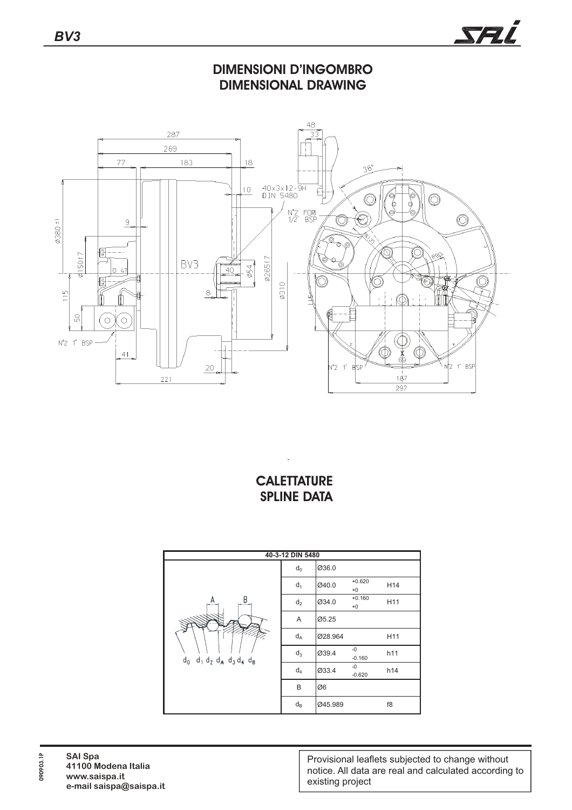

**DIMENSIONI D'INGOMBRO DIMENSIONAL DRAWING**



## **CALETTATURE SPLINE DATA**

.



**090903.1P**

090903.1P